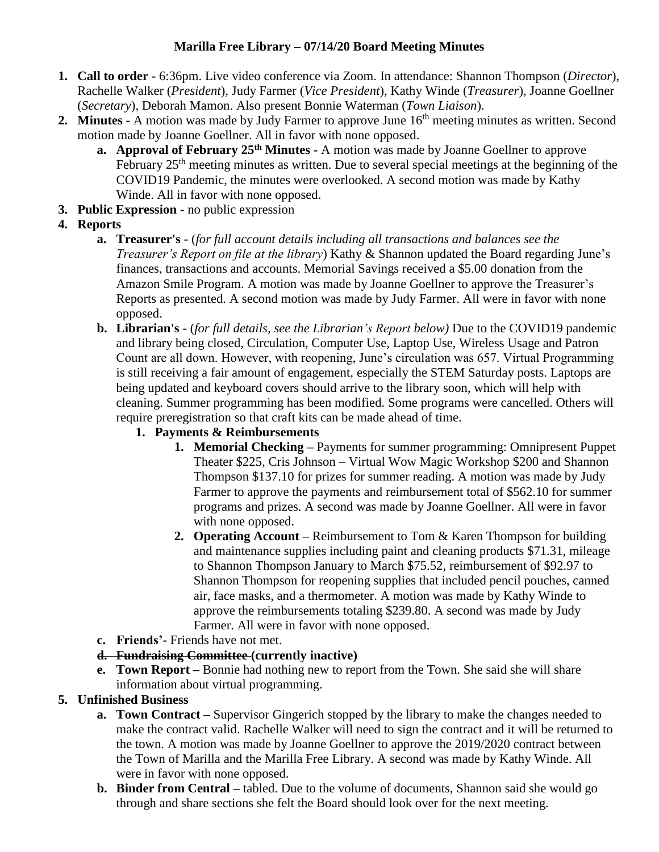## **Marilla Free Library – 07/14/20 Board Meeting Minutes**

- **1. Call to order -** 6:36pm. Live video conference via Zoom. In attendance: Shannon Thompson (*Director*), Rachelle Walker (*President*), Judy Farmer (*Vice President*), Kathy Winde (*Treasurer*), Joanne Goellner (*Secretary*), Deborah Mamon. Also present Bonnie Waterman (*Town Liaison*).
- **2. Minutes -** A motion was made by Judy Farmer to approve June 16<sup>th</sup> meeting minutes as written. Second motion made by Joanne Goellner. All in favor with none opposed.
	- **a. Approval of February 25th Minutes -** A motion was made by Joanne Goellner to approve February 25<sup>th</sup> meeting minutes as written. Due to several special meetings at the beginning of the COVID19 Pandemic, the minutes were overlooked. A second motion was made by Kathy Winde. All in favor with none opposed.
- **3. Public Expression -** no public expression
- **4. Reports**
	- **a. Treasurer's -** (*for full account details including all transactions and balances see the Treasurer's Report on file at the library*) Kathy & Shannon updated the Board regarding June's finances, transactions and accounts. Memorial Savings received a \$5.00 donation from the Amazon Smile Program. A motion was made by Joanne Goellner to approve the Treasurer's Reports as presented. A second motion was made by Judy Farmer. All were in favor with none opposed.
	- **b. Librarian's -** (*for full details, see the Librarian's Report below)* Due to the COVID19 pandemic and library being closed, Circulation, Computer Use, Laptop Use, Wireless Usage and Patron Count are all down. However, with reopening, June's circulation was 657. Virtual Programming is still receiving a fair amount of engagement, especially the STEM Saturday posts. Laptops are being updated and keyboard covers should arrive to the library soon, which will help with cleaning. Summer programming has been modified. Some programs were cancelled. Others will require preregistration so that craft kits can be made ahead of time.
		- **1. Payments & Reimbursements** 
			- **1. Memorial Checking –** Payments for summer programming: Omnipresent Puppet Theater \$225, Cris Johnson – Virtual Wow Magic Workshop \$200 and Shannon Thompson \$137.10 for prizes for summer reading. A motion was made by Judy Farmer to approve the payments and reimbursement total of \$562.10 for summer programs and prizes. A second was made by Joanne Goellner. All were in favor with none opposed.
			- **2. Operating Account –** Reimbursement to Tom & Karen Thompson for building and maintenance supplies including paint and cleaning products \$71.31, mileage to Shannon Thompson January to March \$75.52, reimbursement of \$92.97 to Shannon Thompson for reopening supplies that included pencil pouches, canned air, face masks, and a thermometer. A motion was made by Kathy Winde to approve the reimbursements totaling \$239.80. A second was made by Judy Farmer. All were in favor with none opposed.
	- **c. Friends'-** Friends have not met.
	- **d. Fundraising Committee (currently inactive)**
	- **e. Town Report –** Bonnie had nothing new to report from the Town. She said she will share information about virtual programming.

# **5. Unfinished Business**

- **a. Town Contract –** Supervisor Gingerich stopped by the library to make the changes needed to make the contract valid. Rachelle Walker will need to sign the contract and it will be returned to the town. A motion was made by Joanne Goellner to approve the 2019/2020 contract between the Town of Marilla and the Marilla Free Library. A second was made by Kathy Winde. All were in favor with none opposed.
- **b. Binder from Central –** tabled. Due to the volume of documents, Shannon said she would go through and share sections she felt the Board should look over for the next meeting.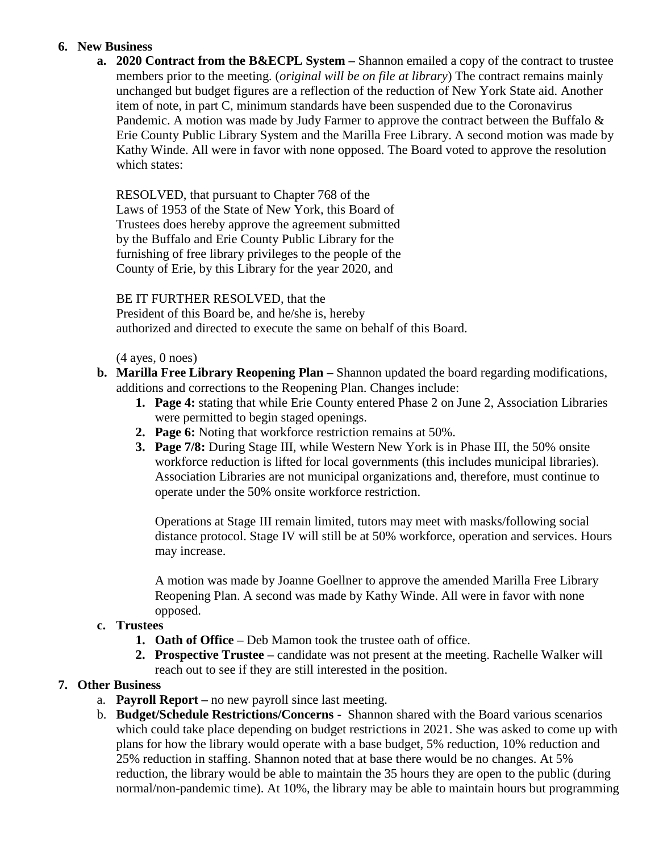### **6. New Business**

**a. 2020 Contract from the B&ECPL System –** Shannon emailed a copy of the contract to trustee members prior to the meeting. (*original will be on file at library*) The contract remains mainly unchanged but budget figures are a reflection of the reduction of New York State aid. Another item of note, in part C, minimum standards have been suspended due to the Coronavirus Pandemic. A motion was made by Judy Farmer to approve the contract between the Buffalo & Erie County Public Library System and the Marilla Free Library. A second motion was made by Kathy Winde. All were in favor with none opposed. The Board voted to approve the resolution which states:

RESOLVED, that pursuant to Chapter 768 of the Laws of 1953 of the State of New York, this Board of Trustees does hereby approve the agreement submitted by the Buffalo and Erie County Public Library for the furnishing of free library privileges to the people of the County of Erie, by this Library for the year 2020, and

BE IT FURTHER RESOLVED, that the

President of this Board be, and he/she is, hereby authorized and directed to execute the same on behalf of this Board.

 $(4$  ayes,  $0$  noes)

- **b. Marilla Free Library Reopening Plan –** Shannon updated the board regarding modifications, additions and corrections to the Reopening Plan. Changes include:
	- **1. Page 4:** stating that while Erie County entered Phase 2 on June 2, Association Libraries were permitted to begin staged openings.
	- **2. Page 6:** Noting that workforce restriction remains at 50%.
	- **3. Page 7/8:** During Stage III, while Western New York is in Phase III, the 50% onsite workforce reduction is lifted for local governments (this includes municipal libraries). Association Libraries are not municipal organizations and, therefore, must continue to operate under the 50% onsite workforce restriction.

Operations at Stage III remain limited, tutors may meet with masks/following social distance protocol. Stage IV will still be at 50% workforce, operation and services. Hours may increase.

A motion was made by Joanne Goellner to approve the amended Marilla Free Library Reopening Plan. A second was made by Kathy Winde. All were in favor with none opposed.

#### **c. Trustees**

- **1. Oath of Office –** Deb Mamon took the trustee oath of office.
- **2. Prospective Trustee –** candidate was not present at the meeting. Rachelle Walker will reach out to see if they are still interested in the position.

## **7. Other Business**

- a. **Payroll Report –** no new payroll since last meeting.
- b. **Budget/Schedule Restrictions/Concerns -** Shannon shared with the Board various scenarios which could take place depending on budget restrictions in 2021. She was asked to come up with plans for how the library would operate with a base budget, 5% reduction, 10% reduction and 25% reduction in staffing. Shannon noted that at base there would be no changes. At 5% reduction, the library would be able to maintain the 35 hours they are open to the public (during normal/non-pandemic time). At 10%, the library may be able to maintain hours but programming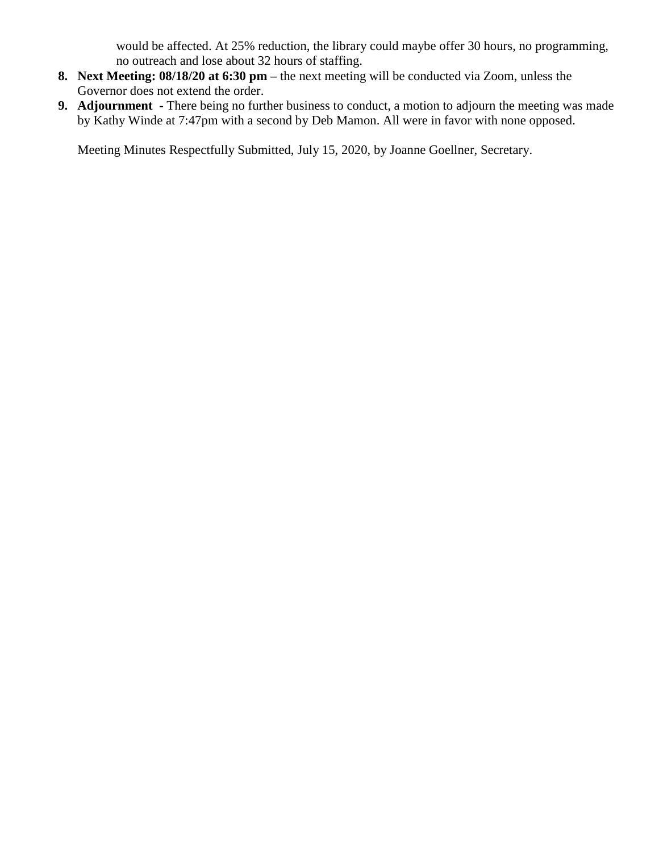would be affected. At 25% reduction, the library could maybe offer 30 hours, no programming, no outreach and lose about 32 hours of staffing.

- **8. Next Meeting: 08/18/20 at 6:30 pm –** the next meeting will be conducted via Zoom, unless the Governor does not extend the order.
- **9. Adjournment -** There being no further business to conduct, a motion to adjourn the meeting was made by Kathy Winde at 7:47pm with a second by Deb Mamon. All were in favor with none opposed.

Meeting Minutes Respectfully Submitted, July 15, 2020, by Joanne Goellner, Secretary.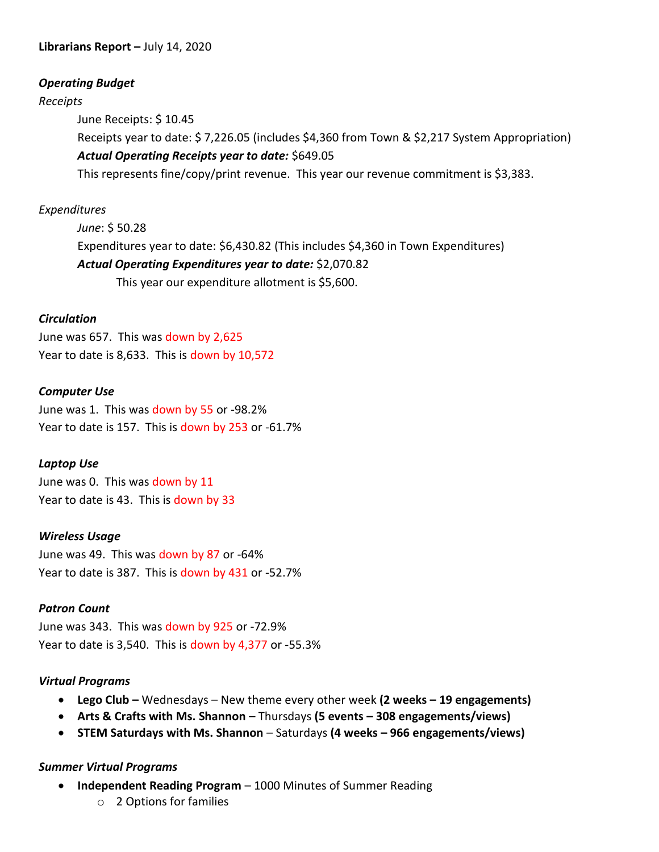### *Operating Budget*

#### *Receipts*

June Receipts: \$ 10.45

Receipts year to date: \$ 7,226.05 (includes \$4,360 from Town & \$2,217 System Appropriation) *Actual Operating Receipts year to date:* \$649.05

This represents fine/copy/print revenue. This year our revenue commitment is \$3,383.

### *Expenditures*

*June*: \$ 50.28 Expenditures year to date: \$6,430.82 (This includes \$4,360 in Town Expenditures) *Actual Operating Expenditures year to date:* \$2,070.82 This year our expenditure allotment is \$5,600.

#### *Circulation*

June was 657. This was down by 2,625 Year to date is 8,633. This is down by 10,572

#### *Computer Use*

June was 1. This was down by 55 or -98.2% Year to date is 157. This is down by 253 or -61.7%

#### *Laptop Use*

June was 0. This was down by 11 Year to date is 43. This is down by 33

#### *Wireless Usage*

June was 49. This was down by 87 or -64% Year to date is 387. This is down by 431 or -52.7%

#### *Patron Count*

June was 343. This was down by 925 or -72.9% Year to date is 3,540. This is down by 4,377 or -55.3%

#### *Virtual Programs*

- **Lego Club –** Wednesdays New theme every other week **(2 weeks – 19 engagements)**
- **Arts & Crafts with Ms. Shannon** Thursdays **(5 events – 308 engagements/views)**
- **STEM Saturdays with Ms. Shannon**  Saturdays **(4 weeks – 966 engagements/views)**

#### *Summer Virtual Programs*

- **Independent Reading Program**  1000 Minutes of Summer Reading
	- o 2 Options for families